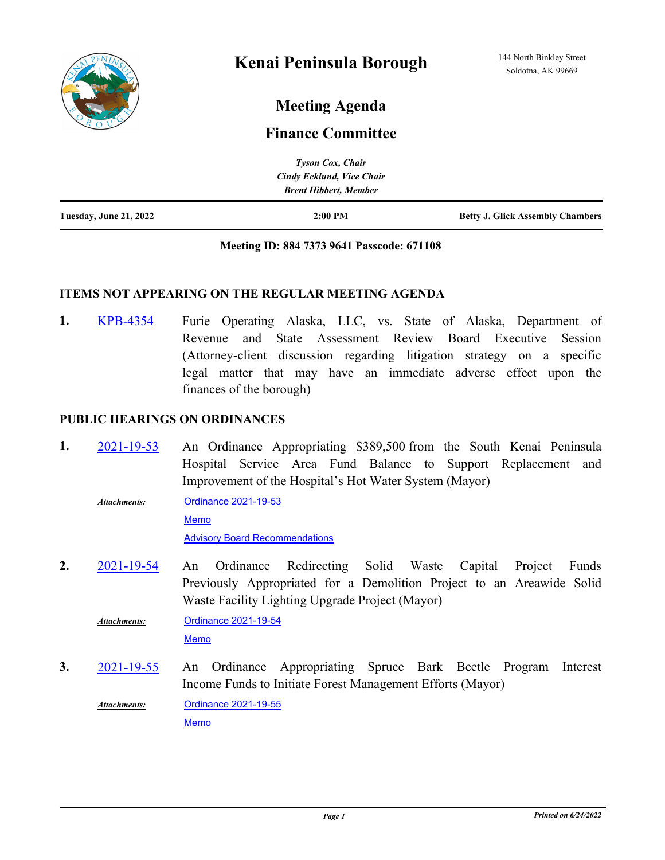

# **Meeting Agenda**

## **Finance Committee**

|                               | <b>Tyson Cox, Chair</b>      |                                         |
|-------------------------------|------------------------------|-----------------------------------------|
|                               | Cindy Ecklund, Vice Chair    |                                         |
|                               | <b>Brent Hibbert, Member</b> |                                         |
| <b>Tuesday, June 21, 2022</b> | $2:00$ PM                    | <b>Betty J. Glick Assembly Chambers</b> |

#### **Meeting ID: 884 7373 9641 Passcode: 671108**

#### **ITEMS NOT APPEARING ON THE REGULAR MEETING AGENDA**

Furie Operating Alaska, LLC, vs. State of Alaska, Department of Revenue and State Assessment Review Board Executive Session (Attorney-client discussion regarding litigation strategy on a specific legal matter that may have an immediate adverse effect upon the finances of the borough) **1.** [KPB-4354](http://kpb.legistar.com/gateway.aspx?m=l&id=/matter.aspx?key=25844)

#### **PUBLIC HEARINGS ON ORDINANCES**

- An Ordinance Appropriating \$389,500 from the South Kenai Peninsula Hospital Service Area Fund Balance to Support Replacement and Improvement of the Hospital's Hot Water System (Mayor) **1.** [2021-19-53](http://kpb.legistar.com/gateway.aspx?m=l&id=/matter.aspx?key=25776)
	- [Ordinance 2021-19-53](http://kpb.legistar.com/gateway.aspx?M=F&ID=67187686-5bf3-480c-b0be-4689f71cbe96.pdf) [Memo](http://kpb.legistar.com/gateway.aspx?M=F&ID=b472c038-216a-48cb-b2d8-8c82d39cb57b.pdf) [Advisory Board Recommendations](http://kpb.legistar.com/gateway.aspx?M=F&ID=227a5df8-09e2-48a2-9358-245388554851.pdf) *Attachments:*
- An Ordinance Redirecting Solid Waste Capital Project Funds Previously Appropriated for a Demolition Project to an Areawide Solid Waste Facility Lighting Upgrade Project (Mayor) **2.** [2021-19-54](http://kpb.legistar.com/gateway.aspx?m=l&id=/matter.aspx?key=25775)

[Ordinance 2021-19-54](http://kpb.legistar.com/gateway.aspx?M=F&ID=7796c838-a8c9-4f4b-b13b-f52cbac3b655.pdf) *Attachments:*

[Memo](http://kpb.legistar.com/gateway.aspx?M=F&ID=fd28911a-2ad0-4913-85da-91cd363b4ee4.pdf)

An Ordinance Appropriating Spruce Bark Beetle Program Interest Income Funds to Initiate Forest Management Efforts (Mayor) **3.** [2021-19-55](http://kpb.legistar.com/gateway.aspx?m=l&id=/matter.aspx?key=25773)

[Ordinance 2021-19-55](http://kpb.legistar.com/gateway.aspx?M=F&ID=85d27f30-f0e3-4871-850b-bcc19c1b17da.pdf) *Attachments:*

[Memo](http://kpb.legistar.com/gateway.aspx?M=F&ID=ba70e176-bf8b-42bf-b9e8-71c7e971b3f9.pdf)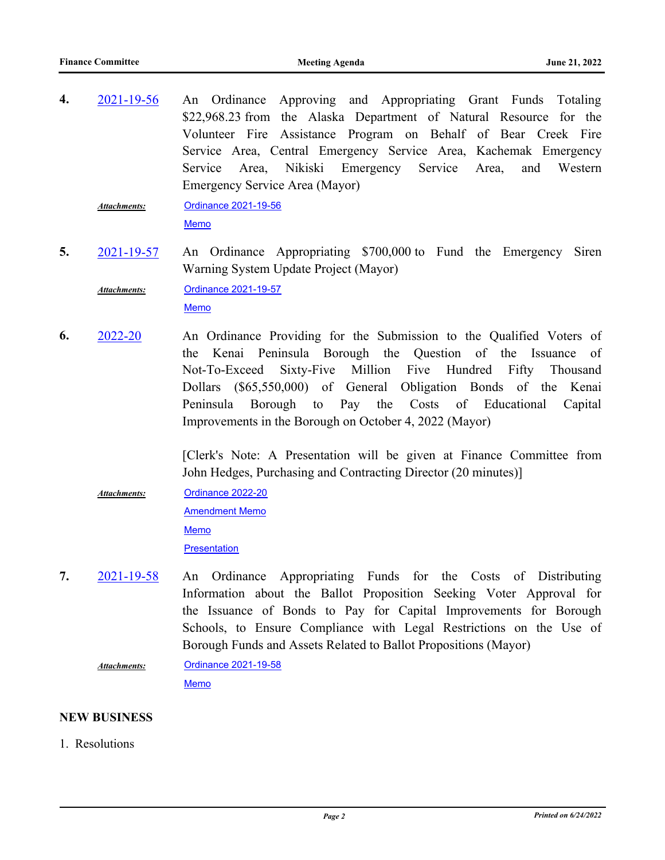An Ordinance Approving and Appropriating Grant Funds Totaling \$22,968.23 from the Alaska Department of Natural Resource for the Volunteer Fire Assistance Program on Behalf of Bear Creek Fire Service Area, Central Emergency Service Area, Kachemak Emergency Service Area, Nikiski Emergency Service Area, and Western Emergency Service Area (Mayor) **4.** [2021-19-56](http://kpb.legistar.com/gateway.aspx?m=l&id=/matter.aspx?key=25765)

[Ordinance 2021-19-56](http://kpb.legistar.com/gateway.aspx?M=F&ID=c0fc86b5-fe9f-40e2-b87b-1b385b3dc17e.pdf) [Memo](http://kpb.legistar.com/gateway.aspx?M=F&ID=ba61431d-e05e-41ba-a2ad-f551c57315a1.pdf) *Attachments:*

An Ordinance Appropriating \$700,000 to Fund the Emergency Siren Warning System Update Project (Mayor) **5.** [2021-19-57](http://kpb.legistar.com/gateway.aspx?m=l&id=/matter.aspx?key=25767)

[Ordinance 2021-19-57](http://kpb.legistar.com/gateway.aspx?M=F&ID=6e2960b7-b17c-454c-83c0-aca68b08112d.pdf) *Attachments:*

[Memo](http://kpb.legistar.com/gateway.aspx?M=F&ID=bf1f9d64-757b-4737-8ede-cfd4e85ef0bf.pdf)

An Ordinance Providing for the Submission to the Qualified Voters of the Kenai Peninsula Borough the Question of the Issuance of Not-To-Exceed Sixty-Five Million Five Hundred Fifty Thousand Dollars (\$65,550,000) of General Obligation Bonds of the Kenai Peninsula Borough to Pay the Costs of Educational Capital Improvements in the Borough on October 4, 2022 (Mayor) **6.** [2022-20](http://kpb.legistar.com/gateway.aspx?m=l&id=/matter.aspx?key=25782)

> [Clerk's Note: A Presentation will be given at Finance Committee from John Hedges, Purchasing and Contracting Director (20 minutes)]

[Ordinance 2022-20](http://kpb.legistar.com/gateway.aspx?M=F&ID=a3381927-8ead-4672-97e9-acf0dc30279a.pdf) *Attachments:*

> [Amendment Memo](http://kpb.legistar.com/gateway.aspx?M=F&ID=44e1ed8a-862a-4c10-90f1-4cceffe1d336.pdf) [Memo](http://kpb.legistar.com/gateway.aspx?M=F&ID=d9448bba-741e-4c0d-8acf-7c2eb219c2e0.pdf) **[Presentation](http://kpb.legistar.com/gateway.aspx?M=F&ID=11f8aef5-ef3a-4729-99f4-1d748e5abea8.pptx)**

An Ordinance Appropriating Funds for the Costs of Distributing Information about the Ballot Proposition Seeking Voter Approval for the Issuance of Bonds to Pay for Capital Improvements for Borough Schools, to Ensure Compliance with Legal Restrictions on the Use of Borough Funds and Assets Related to Ballot Propositions (Mayor) **7.** [2021-19-58](http://kpb.legistar.com/gateway.aspx?m=l&id=/matter.aspx?key=25781)

[Ordinance 2021-19-58](http://kpb.legistar.com/gateway.aspx?M=F&ID=ac4dbfbc-7a03-4c94-be97-798b0e3831fd.pdf) *Attachments:*

**[Memo](http://kpb.legistar.com/gateway.aspx?M=F&ID=fe22668e-bbea-4707-ab02-ceb05ae63f5a.pdf)** 

### **NEW BUSINESS**

1. Resolutions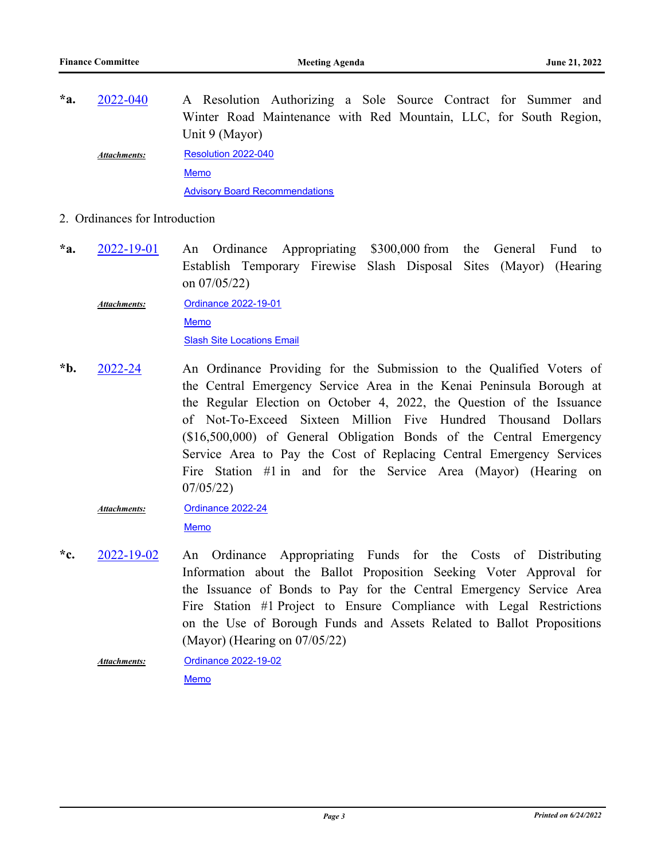- A Resolution Authorizing a Sole Source Contract for Summer and Winter Road Maintenance with Red Mountain, LLC, for South Region, Unit 9 (Mayor) **\*a.** [2022-040](http://kpb.legistar.com/gateway.aspx?m=l&id=/matter.aspx?key=25837) [Resolution 2022-040](http://kpb.legistar.com/gateway.aspx?M=F&ID=ec4b8ad2-9544-401f-8d48-154b1c47d19e.docx) [Memo](http://kpb.legistar.com/gateway.aspx?M=F&ID=9a1a422a-d482-4115-91bd-5cb9ae77f8e9.pdf) [Advisory Board Recommendations](http://kpb.legistar.com/gateway.aspx?M=F&ID=26ade848-b304-436d-b220-d78ef684eb09.pdf) *Attachments:*
- 2. Ordinances for Introduction
- An Ordinance Appropriating \$300,000 from the General Fund to Establish Temporary Firewise Slash Disposal Sites (Mayor) (Hearing on 07/05/22) **\*a.** [2022-19-01](http://kpb.legistar.com/gateway.aspx?m=l&id=/matter.aspx?key=25834)

[Ordinance 2022-19-01](http://kpb.legistar.com/gateway.aspx?M=F&ID=331a5b88-7027-4c53-870d-c188111a99b8.docx) [Memo](http://kpb.legistar.com/gateway.aspx?M=F&ID=e90b40f1-25d8-42a6-ab27-4fd1d7f36ad8.pdf) [Slash Site Locations Email](http://kpb.legistar.com/gateway.aspx?M=F&ID=a1774849-3e4a-4e23-938d-a4aedca87c4a.pdf) *Attachments:*

An Ordinance Providing for the Submission to the Qualified Voters of the Central Emergency Service Area in the Kenai Peninsula Borough at the Regular Election on October 4, 2022, the Question of the Issuance of Not-To-Exceed Sixteen Million Five Hundred Thousand Dollars (\$16,500,000) of General Obligation Bonds of the Central Emergency Service Area to Pay the Cost of Replacing Central Emergency Services Fire Station #1 in and for the Service Area (Mayor) (Hearing on 07/05/22) **\*b.** [2022-24](http://kpb.legistar.com/gateway.aspx?m=l&id=/matter.aspx?key=25841)

#### [Ordinance 2022-24](http://kpb.legistar.com/gateway.aspx?M=F&ID=d497e6aa-c14b-4d5a-8c08-5751faecdca4.docx) [Memo](http://kpb.legistar.com/gateway.aspx?M=F&ID=6a05e9c8-07cb-42cd-a5db-cf9e8662efa0.pdf) *Attachments:*

- An Ordinance Appropriating Funds for the Costs of Distributing Information about the Ballot Proposition Seeking Voter Approval for the Issuance of Bonds to Pay for the Central Emergency Service Area Fire Station #1 Project to Ensure Compliance with Legal Restrictions on the Use of Borough Funds and Assets Related to Ballot Propositions (Mayor) (Hearing on 07/05/22) **\*c.** [2022-19-02](http://kpb.legistar.com/gateway.aspx?m=l&id=/matter.aspx?key=25835)
	- [Ordinance 2022-19-02](http://kpb.legistar.com/gateway.aspx?M=F&ID=7bb29c05-2841-484f-a77a-9b7ea9202a4c.docx) [Memo](http://kpb.legistar.com/gateway.aspx?M=F&ID=f795ffe3-91a1-4923-a27f-997c8dc71710.pdf) *Attachments:*